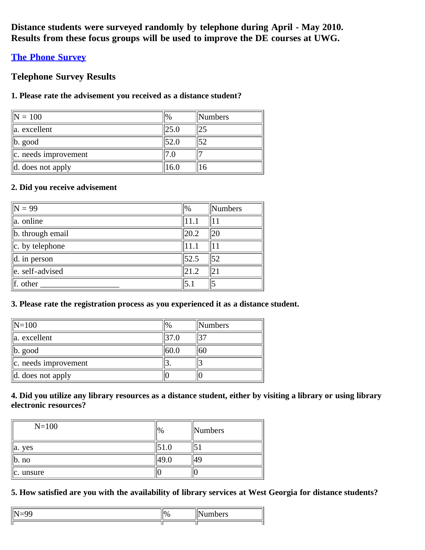**Distance students were surveyed randomly by telephone during April - May 2010. Results from these focus groups will be used to improve the DE courses at UWG.**

# **[The Phone Survey](http://www.surveymonkey.com/s/FLMWBPR)**

# **Telephone Survey Results**

# **1. Please rate the advisement you received as a distance student?**

| $\vert\vert \mathbf{N} = 100$ | $\frac{10}{6}$ | $\mathbb{N}$ umbers |
|-------------------------------|----------------|---------------------|
| $\ $ a. excellent             |                |                     |
| $\ $ b. good                  | 52.0           | 52                  |
| $\ c\ $ . needs improvement   |                |                     |
| $\parallel$ d. does not apply |                |                     |

# **2. Did you receive advisement**

| $\sqrt{N} = 99$          | $\frac{1}{2}$ | Numbers         |
|--------------------------|---------------|-----------------|
| $\ $ a. online           | 11.1          | 11              |
| b. through email         | 20.2          | 20              |
| $\ c.$ by telephone      | 11.1          | 11              |
| $\parallel$ d. in person | $\vert$ 52.5  | $\overline{52}$ |
| $\ $ e. self-advised     | 21.2          | 21              |
| $\ $ f. other            | 5.1           |                 |

# **3. Please rate the registration process as you experienced it as a distance student.**

| $\ N=100$                | $\%$ | Numbers |
|--------------------------|------|---------|
| a. excellent             |      | 37      |
| $ b. \text{ good} $      | 60.0 | 160     |
| $\ c.$ needs improvement | ، ب  |         |
| d. does not apply        |      |         |

# **4. Did you utilize any library resources as a distance student, either by visiting a library or using library electronic resources?**

| $N = 100$                   | $\frac{10}{6}$ | $\mathbb{N}$ umbers |
|-----------------------------|----------------|---------------------|
| a. yes                      |                |                     |
| $\mathsf{I} \mathsf{b}.$ no |                |                     |
| $\ c.$ unsure               |                |                     |

**5. How satisfied are you with the availability of library services at West Georgia for distance students?**

|  | ı<br>., |
|--|---------|
|  |         |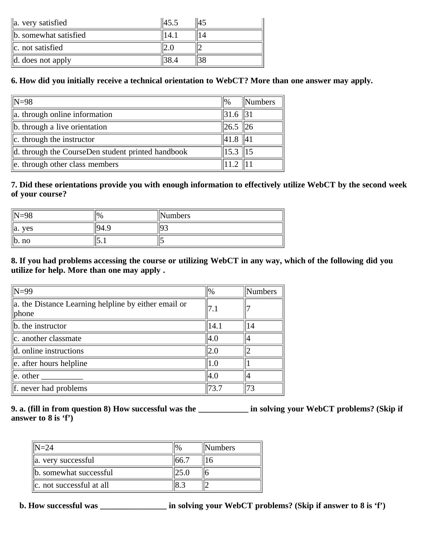| $\ $ a. very satisfied        | 45.5 |  |
|-------------------------------|------|--|
| b. somewhat satisfied         |      |  |
| $\ c\ $ not satisfied         |      |  |
| $\parallel$ d. does not apply |      |  |

# **6. How did you initially receive a technical orientation to WebCT? More than one answer may apply.**

| $N=98$                                            | $\frac{10}{6}$   | <b>Numbers</b> |
|---------------------------------------------------|------------------|----------------|
| a. through online information                     | $\parallel$ 31.6 |                |
| b. through a live orientation                     | $\ 26.5\ 26$     |                |
| c. through the instructor                         | 41.8             | $\parallel$ 41 |
| d. through the CourseDen student printed handbook | $15.3$   15      |                |
| e. through other class members                    |                  |                |

# **7. Did these orientations provide you with enough information to effectively utilize WebCT by the second week of your course?**

| $\parallel$ N=98   | $\frac{10}{6}$ | <b>Numbers</b> |
|--------------------|----------------|----------------|
| <b>ves</b><br>lla. | .Ч4            |                |
| $\ $ b. no         | ا د سا         |                |

# **8. If you had problems accessing the course or utilizing WebCT in any way, which of the following did you utilize for help. More than one may apply .**

| $N=99$                                                        | 0/0  | Numbers |
|---------------------------------------------------------------|------|---------|
| a. the Distance Learning helpline by either email or<br>phone | 7.1  |         |
| $\ $ b. the instructor                                        | 14.1 | 14      |
| c. another classmate                                          | 4.0  |         |
| d. online instructions                                        | 2.0  |         |
| e. after hours helpline                                       | 1.0  |         |
| e. other                                                      | 4.0  |         |
| f. never had problems                                         | 73.7 | 73      |

#### **9. a. (fill in from question 8) How successful was the \_\_\_\_\_\_\_\_\_\_\_\_ in solving your WebCT problems? (Skip if answer to 8 is 'f')**

| $\parallel$ N=24          | <b>Numbers</b> |
|---------------------------|----------------|
| a. very successful        |                |
| b. somewhat successful    |                |
| Ic. not successful at all |                |

**b. How successful was \_\_\_\_\_\_\_\_\_\_\_\_\_\_\_\_ in solving your WebCT problems? (Skip if answer to 8 is 'f')**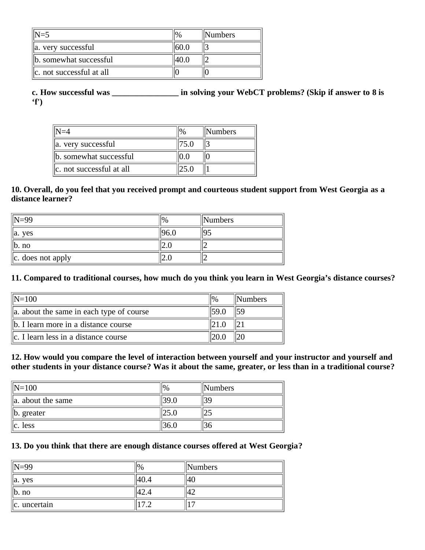| $N=5$                    |      | <b>Numbers</b> |
|--------------------------|------|----------------|
| a. very successful       | 60.0 |                |
| b. somewhat successful   | 40 O |                |
| c. not successful at all |      |                |

**c. How successful was \_\_\_\_\_\_\_\_\_\_\_\_\_\_\_\_ in solving your WebCT problems? (Skip if answer to 8 is 'f')**

|                           |      | Numbers |
|---------------------------|------|---------|
| a. very successful        | 75.0 |         |
| b. somewhat successful    |      |         |
| lc. not successful at all |      |         |

#### **10. Overall, do you feel that you received prompt and courteous student support from West Georgia as a distance learner?**

| $\mathbb{N} = 99$              | $\frac{10}{6}$ | <b>Numbers</b> |
|--------------------------------|----------------|----------------|
| lla. ves                       |                |                |
| b. n <sub>0</sub>              | ∪ • ∠ا         |                |
| $\ c. \ \cos \theta$ not apply | ∠…             |                |

#### **11. Compared to traditional courses, how much do you think you learn in West Georgia's distance courses?**

| $\mathbb{N} = 100$                          | $\frac{10}{6}$ | <b>Numbers</b> |
|---------------------------------------------|----------------|----------------|
| a. about the same in each type of course    | 159.0          |                |
| b. I learn more in a distance course        |                |                |
| $\ c\ $ . I learn less in a distance course |                |                |

**12. How would you compare the level of interaction between yourself and your instructor and yourself and other students in your distance course? Was it about the same, greater, or less than in a traditional course?**

| $\mathbb{N}=100$       | $\frac{10}{6}$ | Numbers |
|------------------------|----------------|---------|
| $\ $ a. about the same |                | 39      |
| $\ $ b. greater        |                | ت       |
| $\ c.$ less            |                | .36.    |

#### **13. Do you think that there are enough distance courses offered at West Georgia?**

| $\parallel$ N=99      | %               | Numbers |  |
|-----------------------|-----------------|---------|--|
| ves<br>$\parallel$ a. |                 | 14 U    |  |
| $\ $ b. no            | $\sim$ . $\sim$ |         |  |
| $\ c.$ uncertain      |                 |         |  |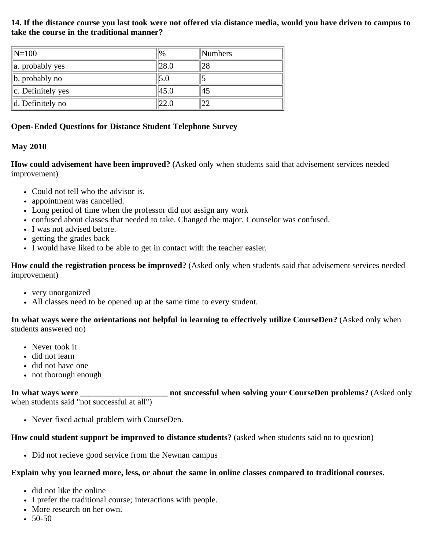**14. If the distance course you last took were not offered via distance media, would you have driven to campus to take the course in the traditional manner?**

| $\ N=100$                    | $\frac{10}{6}$ | $\mathbb{N}$ umbers |
|------------------------------|----------------|---------------------|
| $\ $ a. probably yes         | 28.C           | 128                 |
| $\ $ b. probably no          |                |                     |
| $\ c.$ Definitely yes        | 45.0           | 45                  |
| $\parallel$ d. Definitely no |                |                     |

# **Open-Ended Questions for Distance Student Telephone Survey**

# **May 2010**

**How could advisement have been improved?** (Asked only when students said that advisement services needed improvement)

- Could not tell who the advisor is.
- appointment was cancelled.
- Long period of time when the professor did not assign any work
- confused about classes that needed to take. Changed the major. Counselor was confused.
- I was not advised before.
- getting the grades back
- I would have liked to be able to get in contact with the teacher easier.

**How could the registration process be improved?** (Asked only when students said that advisement services needed improvement)

- very unorganized
- All classes need to be opened up at the same time to every student.

**In what ways were the orientations not helpful in learning to effectively utilize CourseDen?** (Asked only when students answered no)

- Never took it
- did not learn
- did not have one
- not thorough enough

#### **In what ways were \_\_\_\_\_\_\_\_\_\_\_\_\_\_\_\_\_\_\_\_\_ not successful when solving your CourseDen problems?** (Asked only when students said "not successful at all")

Never fixed actual problem with CourseDen.

# **How could student support be improved to distance students?** (asked when students said no to question)

• Did not recieve good service from the Newnan campus

# **Explain why you learned more, less, or about the same in online classes compared to traditional courses.**

- did not like the online
- I prefer the traditional course; interactions with people.
- More research on her own.
- $-50-50$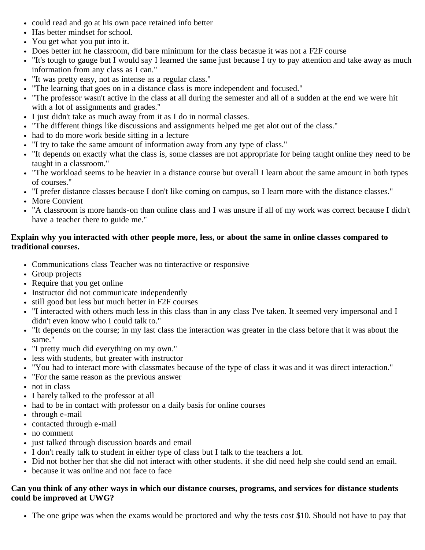- could read and go at his own pace retained info better
- Has better mindset for school.
- You get what you put into it.
- Does better int he classroom, did bare minimum for the class becasue it was not a F2F course
- "It's tough to gauge but I would say I learned the same just because I try to pay attention and take away as much information from any class as I can."
- "It was pretty easy, not as intense as a regular class."
- "The learning that goes on in a distance class is more independent and focused."
- "The professor wasn't active in the class at all during the semester and all of a sudden at the end we were hit with a lot of assignments and grades."
- I just didn't take as much away from it as I do in normal classes.
- "The different things like discussions and assignments helped me get alot out of the class."
- had to do more work beside sitting in a lecture
- "I try to take the same amount of information away from any type of class."
- "It depends on exactly what the class is, some classes are not appropriate for being taught online they need to be taught in a classroom."
- "The workload seems to be heavier in a distance course but overall I learn about the same amount in both types of courses."
- "I prefer distance classes because I don't like coming on campus, so I learn more with the distance classes."
- More Convient
- "A classroom is more hands-on than online class and I was unsure if all of my work was correct because I didn't have a teacher there to guide me."

# **Explain why you interacted with other people more, less, or about the same in online classes compared to traditional courses.**

- Communications class Teacher was no tinteractive or responsive
- Group projects
- Require that you get online
- Instructor did not communicate independently
- still good but less but much better in F2F courses
- "I interacted with others much less in this class than in any class I've taken. It seemed very impersonal and I didn't even know who I could talk to."
- "It depends on the course; in my last class the interaction was greater in the class before that it was about the same."
- "I pretty much did everything on my own."
- less with students, but greater with instructor
- "You had to interact more with classmates because of the type of class it was and it was direct interaction."
- "For the same reason as the previous answer
- not in class
- I barely talked to the professor at all
- had to be in contact with professor on a daily basis for online courses
- through e-mail
- contacted through e-mail
- no comment
- just talked through discussion boards and email
- I don't really talk to student in either type of class but I talk to the teachers a lot.
- Did not bother her that she did not interact with other students. if she did need help she could send an email.
- because it was online and not face to face

# **Can you think of any other ways in which our distance courses, programs, and services for distance students could be improved at UWG?**

The one gripe was when the exams would be proctored and why the tests cost \$10. Should not have to pay that